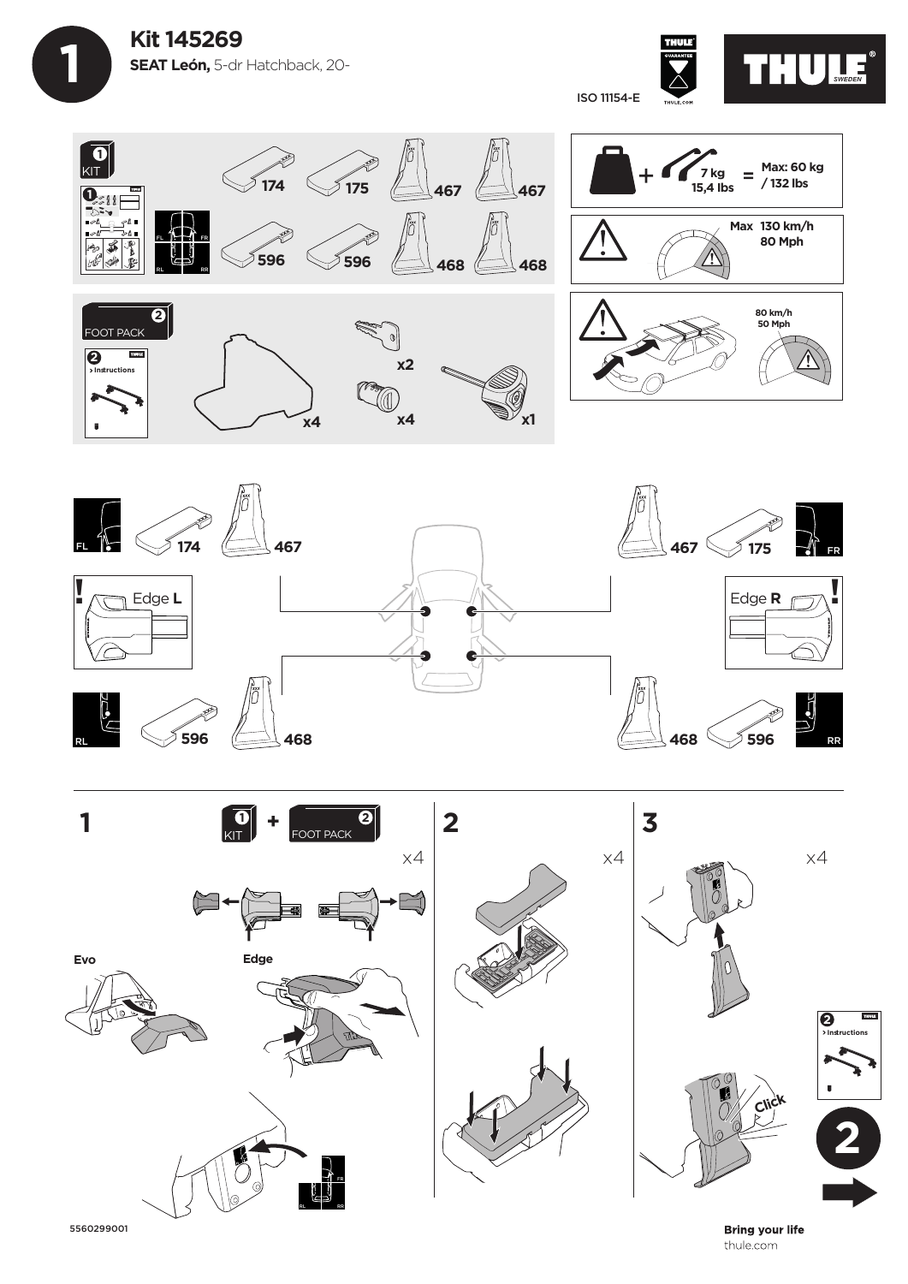**Kit 145269 SEAT León,** 5-dr Hatchback, 20-

 **1**



ISO 11154-E







5560299001

**Bring your life** thule.com